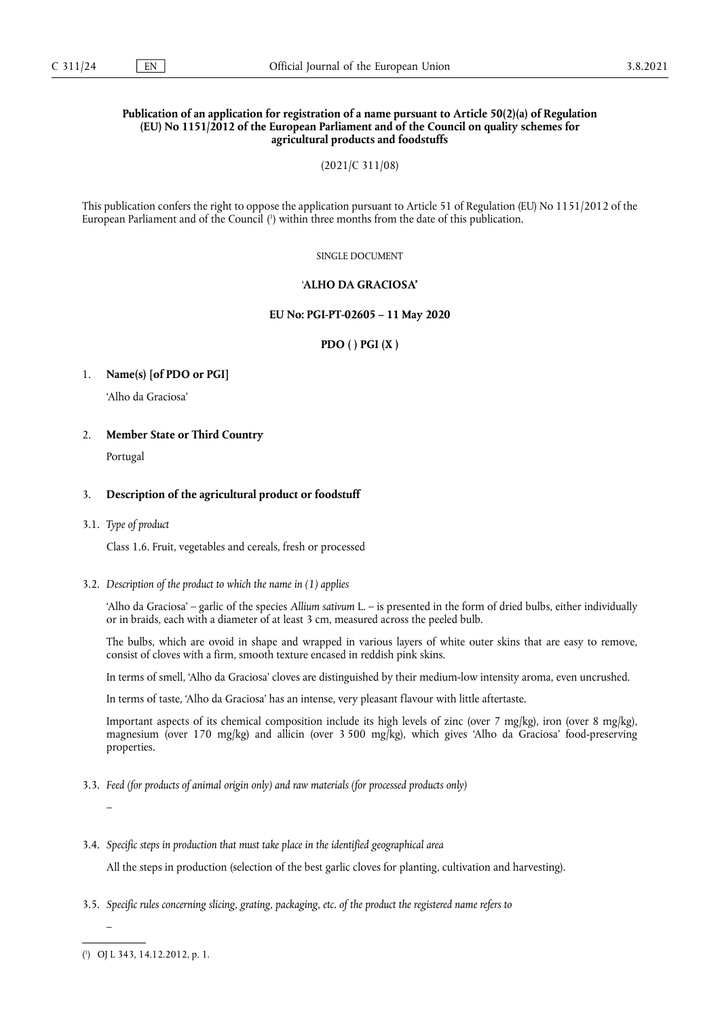# **Publication of an application for registration of a name pursuant to Article 50(2)(a) of Regulation (EU) No 1151/2012 of the European Parliament and of the Council on quality schemes for agricultural products and foodstuffs**

(2021/C 311/08)

<span id="page-0-1"></span>This publication confers the right to oppose the application pursuant to Article 51 of Regulation (EU) No 1151/2012 of the European Parliament and of the Council [\(](#page-0-0) 1 ) within three months from the date of this publication.

SINGLE DOCUMENT

# '**ALHO DA GRACIOSA'**

## **EU No: PGI-PT-02605 – 11 May 2020**

**PDO ( ) PGI (X )**

# 1. **Name(s) [of PDO or PGI]**

'Alho da Graciosa'

# 2. **Member State or Third Country**

Portugal

# 3. **Description of the agricultural product or foodstuff**

### 3.1. *Type of product*

Class 1.6. Fruit, vegetables and cereals, fresh or processed

## 3.2. *Description of the product to which the name in (1) applies*

'Alho da Graciosa' – garlic of the species *Allium sativum* L. – is presented in the form of dried bulbs, either individually or in braids, each with a diameter of at least 3 cm, measured across the peeled bulb.

The bulbs, which are ovoid in shape and wrapped in various layers of white outer skins that are easy to remove, consist of cloves with a firm, smooth texture encased in reddish pink skins.

In terms of smell, 'Alho da Graciosa' cloves are distinguished by their medium-low intensity aroma, even uncrushed.

In terms of taste, 'Alho da Graciosa' has an intense, very pleasant flavour with little aftertaste.

Important aspects of its chemical composition include its high levels of zinc (over 7 mg/kg), iron (over 8 mg/kg), magnesium (over 170 mg/kg) and allicin (over 3 500 mg/kg), which gives 'Alho da Graciosa' food-preserving properties.

3.3. *Feed (for products of animal origin only) and raw materials (for processed products only)*

–

–

3.4. *Specific steps in production that must take place in the identified geographical area*

All the steps in production (selection of the best garlic cloves for planting, cultivation and harvesting).

3.5. *Specific rules concerning slicing, grating, packaging, etc. of the product the registered name refers to*

<span id="page-0-0"></span>[\(](#page-0-1) 1 ) OJ L 343, 14.12.2012, p. 1.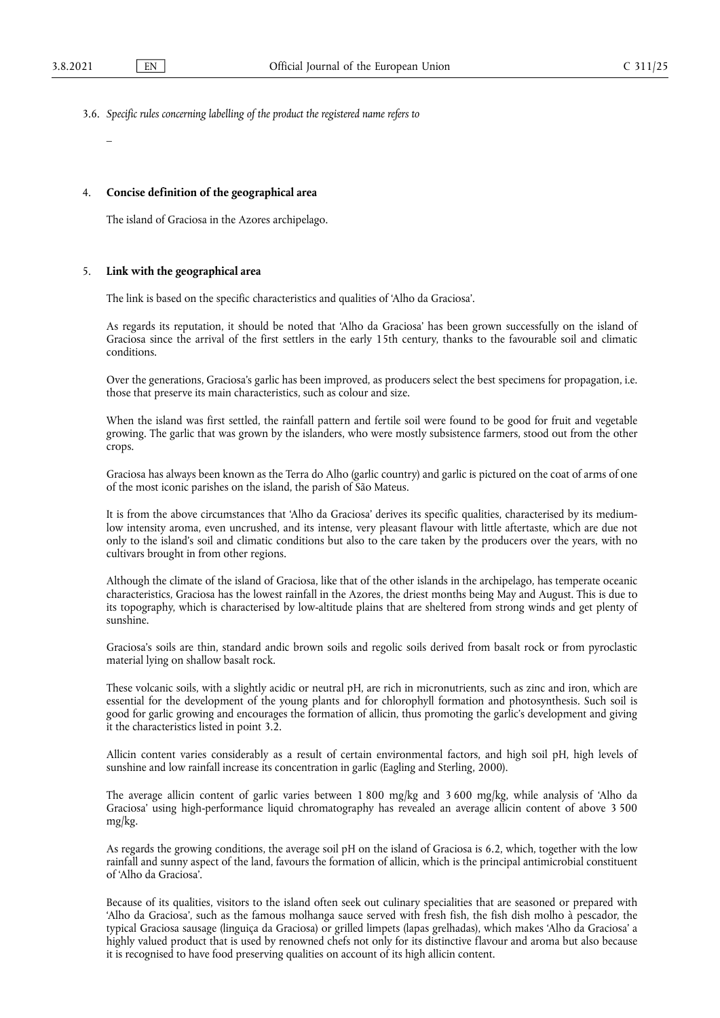- 3.6. *Specific rules concerning labelling of the product the registered name refers to*
	- –

## 4. **Concise definition of the geographical area**

The island of Graciosa in the Azores archipelago.

## 5. **Link with the geographical area**

The link is based on the specific characteristics and qualities of 'Alho da Graciosa'.

As regards its reputation, it should be noted that 'Alho da Graciosa' has been grown successfully on the island of Graciosa since the arrival of the first settlers in the early 15th century, thanks to the favourable soil and climatic conditions.

Over the generations, Graciosa's garlic has been improved, as producers select the best specimens for propagation, i.e. those that preserve its main characteristics, such as colour and size.

When the island was first settled, the rainfall pattern and fertile soil were found to be good for fruit and vegetable growing. The garlic that was grown by the islanders, who were mostly subsistence farmers, stood out from the other crops.

Graciosa has always been known as the Terra do Alho (garlic country) and garlic is pictured on the coat of arms of one of the most iconic parishes on the island, the parish of São Mateus.

It is from the above circumstances that 'Alho da Graciosa' derives its specific qualities, characterised by its mediumlow intensity aroma, even uncrushed, and its intense, very pleasant flavour with little aftertaste, which are due not only to the island's soil and climatic conditions but also to the care taken by the producers over the years, with no cultivars brought in from other regions.

Although the climate of the island of Graciosa, like that of the other islands in the archipelago, has temperate oceanic characteristics, Graciosa has the lowest rainfall in the Azores, the driest months being May and August. This is due to its topography, which is characterised by low-altitude plains that are sheltered from strong winds and get plenty of sunshine.

Graciosa's soils are thin, standard andic brown soils and regolic soils derived from basalt rock or from pyroclastic material lying on shallow basalt rock.

These volcanic soils, with a slightly acidic or neutral pH, are rich in micronutrients, such as zinc and iron, which are essential for the development of the young plants and for chlorophyll formation and photosynthesis. Such soil is good for garlic growing and encourages the formation of allicin, thus promoting the garlic's development and giving it the characteristics listed in point 3.2.

Allicin content varies considerably as a result of certain environmental factors, and high soil pH, high levels of sunshine and low rainfall increase its concentration in garlic (Eagling and Sterling, 2000).

The average allicin content of garlic varies between 1 800 mg/kg and 3 600 mg/kg, while analysis of 'Alho da Graciosa' using high-performance liquid chromatography has revealed an average allicin content of above 3 500 mg/kg.

As regards the growing conditions, the average soil pH on the island of Graciosa is 6.2, which, together with the low rainfall and sunny aspect of the land, favours the formation of allicin, which is the principal antimicrobial constituent of 'Alho da Graciosa'.

Because of its qualities, visitors to the island often seek out culinary specialities that are seasoned or prepared with 'Alho da Graciosa', such as the famous molhanga sauce served with fresh fish, the fish dish molho à pescador, the typical Graciosa sausage (linguiça da Graciosa) or grilled limpets (lapas grelhadas), which makes 'Alho da Graciosa' a highly valued product that is used by renowned chefs not only for its distinctive flavour and aroma but also because it is recognised to have food preserving qualities on account of its high allicin content.